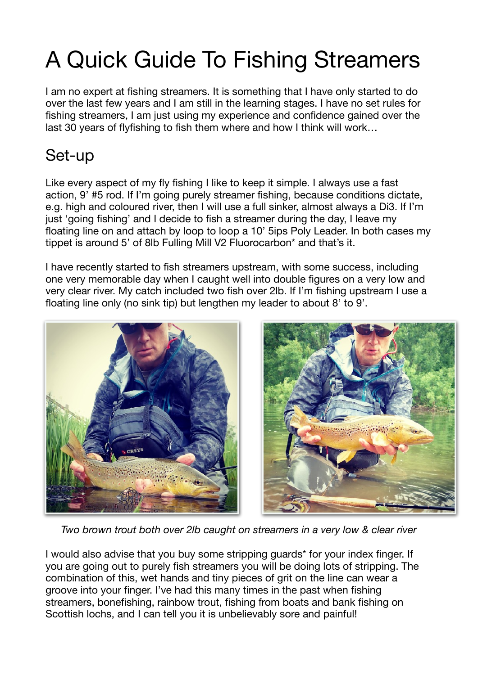# A Quick Guide To Fishing Streamers

I am no expert at fishing streamers. It is something that I have only started to do over the last few years and I am still in the learning stages. I have no set rules for fishing streamers, I am just using my experience and confidence gained over the last 30 years of flyfishing to fish them where and how I think will work…

# Set-up

Like every aspect of my fly fishing I like to keep it simple. I always use a fast action, 9' #5 rod. If I'm going purely streamer fishing, because conditions dictate, e.g. high and coloured river, then I will use a full sinker, almost always a Di3. If I'm just 'going fishing' and I decide to fish a streamer during the day, I leave my floating line on and attach by loop to loop a 10' 5ips Poly Leader. In both cases my tippet is around 5' of 8lb Fulling Mill V2 Fluorocarbon\* and that's it.

I have recently started to fish streamers upstream, with some success, including one very memorable day when I caught well into double figures on a very low and very clear river. My catch included two fish over 2lb. If I'm fishing upstream I use a floating line only (no sink tip) but lengthen my leader to about 8' to 9'.





*Two brown trout both over 2lb caught on streamers in a very low & clear river* 

I would also advise that you buy some stripping guards\* for your index finger. If you are going out to purely fish streamers you will be doing lots of stripping. The combination of this, wet hands and tiny pieces of grit on the line can wear a groove into your finger. I've had this many times in the past when fishing streamers, bonefishing, rainbow trout, fishing from boats and bank fishing on Scottish lochs, and I can tell you it is unbelievably sore and painful!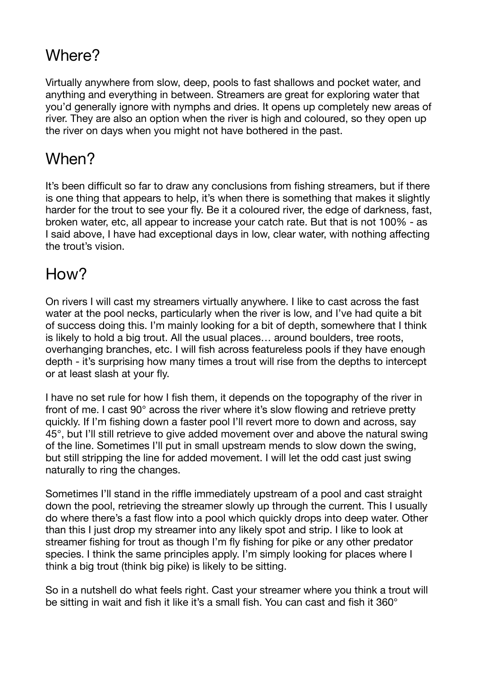# Where?

Virtually anywhere from slow, deep, pools to fast shallows and pocket water, and anything and everything in between. Streamers are great for exploring water that you'd generally ignore with nymphs and dries. It opens up completely new areas of river. They are also an option when the river is high and coloured, so they open up the river on days when you might not have bothered in the past.

# When?

It's been difficult so far to draw any conclusions from fishing streamers, but if there is one thing that appears to help, it's when there is something that makes it slightly harder for the trout to see your fly. Be it a coloured river, the edge of darkness, fast, broken water, etc, all appear to increase your catch rate. But that is not 100% - as I said above, I have had exceptional days in low, clear water, with nothing affecting the trout's vision.

## How?

On rivers I will cast my streamers virtually anywhere. I like to cast across the fast water at the pool necks, particularly when the river is low, and I've had quite a bit of success doing this. I'm mainly looking for a bit of depth, somewhere that I think is likely to hold a big trout. All the usual places… around boulders, tree roots, overhanging branches, etc. I will fish across featureless pools if they have enough depth - it's surprising how many times a trout will rise from the depths to intercept or at least slash at your fly.

I have no set rule for how I fish them, it depends on the topography of the river in front of me. I cast 90° across the river where it's slow flowing and retrieve pretty quickly. If I'm fishing down a faster pool I'll revert more to down and across, say 45°, but I'll still retrieve to give added movement over and above the natural swing of the line. Sometimes I'll put in small upstream mends to slow down the swing, but still stripping the line for added movement. I will let the odd cast just swing naturally to ring the changes.

Sometimes I'll stand in the riffle immediately upstream of a pool and cast straight down the pool, retrieving the streamer slowly up through the current. This I usually do where there's a fast flow into a pool which quickly drops into deep water. Other than this I just drop my streamer into any likely spot and strip. I like to look at streamer fishing for trout as though I'm fly fishing for pike or any other predator species. I think the same principles apply. I'm simply looking for places where I think a big trout (think big pike) is likely to be sitting.

So in a nutshell do what feels right. Cast your streamer where you think a trout will be sitting in wait and fish it like it's a small fish. You can cast and fish it 360°